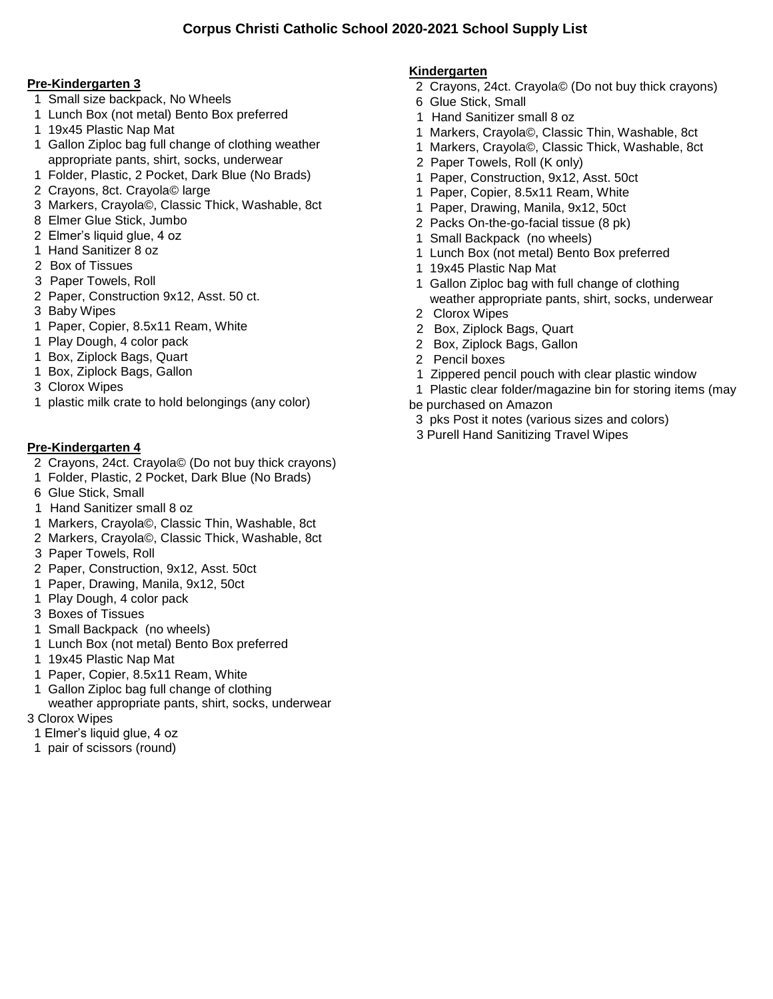#### **Pre-Kindergarten 3**

- 1 Small size backpack, No Wheels
- 1 Lunch Box (not metal) Bento Box preferred
- 1 19x45 Plastic Nap Mat
- 1 Gallon Ziploc bag full change of clothing weather appropriate pants, shirt, socks, underwear
- 1 Folder, Plastic, 2 Pocket, Dark Blue (No Brads)
- 2 Crayons, 8ct. Crayola© large
- 3 Markers, Crayola©, Classic Thick, Washable, 8ct
- 8 Elmer Glue Stick, Jumbo
- 2 Elmer's liquid glue, 4 oz
- 1 Hand Sanitizer 8 oz
- 2 Box of Tissues
- 3 Paper Towels, Roll
- 2 Paper, Construction 9x12, Asst. 50 ct.
- 3 Baby Wipes
- 1 Paper, Copier, 8.5x11 Ream, White
- 1 Play Dough, 4 color pack
- 1 Box, Ziplock Bags, Quart
- 1 Box, Ziplock Bags, Gallon
- 3 Clorox Wipes
- 1 plastic milk crate to hold belongings (any color)

### **Pre-Kindergarten 4**

- 2 Crayons, 24ct. Crayola© (Do not buy thick crayons)
- 1 Folder, Plastic, 2 Pocket, Dark Blue (No Brads)
- 6 Glue Stick, Small
- 1 Hand Sanitizer small 8 oz
- 1 Markers, Crayola©, Classic Thin, Washable, 8ct
- 2 Markers, Crayola©, Classic Thick, Washable, 8ct
- 3 Paper Towels, Roll
- 2 Paper, Construction, 9x12, Asst. 50ct
- 1 Paper, Drawing, Manila, 9x12, 50ct
- 1 Play Dough, 4 color pack
- 3 Boxes of Tissues
- 1 Small Backpack (no wheels)
- 1 Lunch Box (not metal) Bento Box preferred
- 1 19x45 Plastic Nap Mat
- 1 Paper, Copier, 8.5x11 Ream, White
- 1 Gallon Ziploc bag full change of clothing weather appropriate pants, shirt, socks, underwear
- 3 Clorox Wipes
- 1 Elmer's liquid glue, 4 oz
- 1 pair of scissors (round)

## **Kindergarten**

- 2 Crayons, 24ct. Crayola© (Do not buy thick crayons)
- 6 Glue Stick, Small
- 1 Hand Sanitizer small 8 oz
- 1 Markers, Crayola©, Classic Thin, Washable, 8ct
- 1 Markers, Crayola©, Classic Thick, Washable, 8ct
- 2 Paper Towels, Roll (K only)
- 1 Paper, Construction, 9x12, Asst. 50ct
- 1 Paper, Copier, 8.5x11 Ream, White
- 1 Paper, Drawing, Manila, 9x12, 50ct
- 2 Packs On-the-go-facial tissue (8 pk)
- 1 Small Backpack (no wheels)
- 1 Lunch Box (not metal) Bento Box preferred
- 1 19x45 Plastic Nap Mat
- 1 Gallon Ziploc bag with full change of clothing weather appropriate pants, shirt, socks, underwear
- 2 Clorox Wipes
- 2 Box, Ziplock Bags, Quart
- 2 Box, Ziplock Bags, Gallon
- 2 Pencil boxes
- 1 Zippered pencil pouch with clear plastic window
- 1 Plastic clear folder/magazine bin for storing items (may
- be purchased on Amazon
- 3 pks Post it notes (various sizes and colors)
- 3 Purell Hand Sanitizing Travel Wipes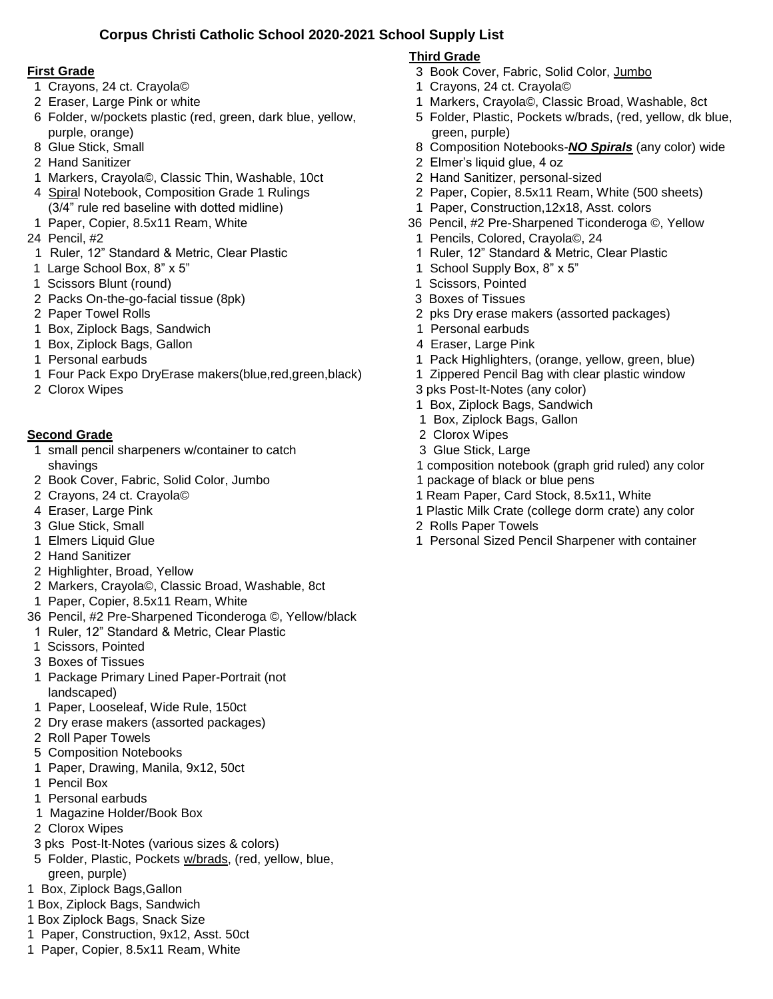## **Corpus Christi Catholic School 2020-2021 School Supply List**

#### **First Grade**

- 1 Crayons, 24 ct. Crayola©
- 2 Eraser, Large Pink or white
- 6 Folder, w/pockets plastic (red, green, dark blue, yellow, purple, orange)
- 8 Glue Stick, Small
- 2 Hand Sanitizer
- 1 Markers, Crayola©, Classic Thin, Washable, 10ct
- 4 Spiral Notebook, Composition Grade 1 Rulings (3/4" rule red baseline with dotted midline)
- 1 Paper, Copier, 8.5x11 Ream, White
- 24 Pencil, #2
- 1 Ruler, 12" Standard & Metric, Clear Plastic
- 1 Large School Box, 8" x 5"
- 1 Scissors Blunt (round)
- 2 Packs On-the-go-facial tissue (8pk)
- 2 Paper Towel Rolls
- 1 Box, Ziplock Bags, Sandwich
- 1 Box, Ziplock Bags, Gallon
- 1 Personal earbuds
- 1 Four Pack Expo DryErase makers(blue,red,green,black)
- 2 Clorox Wipes

### **Second Grade**

- 1 small pencil sharpeners w/container to catch shavings
- 2 Book Cover, Fabric, Solid Color, Jumbo
- 2 Crayons, 24 ct. Crayola©
- 4 Eraser, Large Pink
- 3 Glue Stick, Small
- 1 Elmers Liquid Glue
- 2 Hand Sanitizer
- 2 Highlighter, Broad, Yellow
- 2 Markers, Crayola©, Classic Broad, Washable, 8ct
- 1 Paper, Copier, 8.5x11 Ream, White
- 36 Pencil, #2 Pre-Sharpened Ticonderoga ©, Yellow/black
- 1 Ruler, 12" Standard & Metric, Clear Plastic
- 1 Scissors, Pointed
- 3 Boxes of Tissues
- 1 Package Primary Lined Paper-Portrait (not landscaped)
- 1 Paper, Looseleaf, Wide Rule, 150ct
- 2 Dry erase makers (assorted packages)
- 2 Roll Paper Towels
- 5 Composition Notebooks
- 1 Paper, Drawing, Manila, 9x12, 50ct
- 1 Pencil Box
- 1 Personal earbuds
- 1 Magazine Holder/Book Box
- 2 Clorox Wipes
- 3 pks Post-It-Notes (various sizes & colors)
- 5 Folder, Plastic, Pockets w/brads, (red, yellow, blue, green, purple)
- 1 Box, Ziplock Bags,Gallon
- 1 Box, Ziplock Bags, Sandwich
- 1 Box Ziplock Bags, Snack Size
- 1 Paper, Construction, 9x12, Asst. 50ct
- 1 Paper, Copier, 8.5x11 Ream, White

## **Third Grade**

- 3 Book Cover, Fabric, Solid Color, Jumbo
- 1 Crayons, 24 ct. Crayola©
- 1 Markers, Crayola©, Classic Broad, Washable, 8ct
- 5 Folder, Plastic, Pockets w/brads, (red, yellow, dk blue, green, purple)
- 8 Composition Notebooks-*NO Spirals* (any color) wide
- 2 Elmer's liquid glue, 4 oz
- 2 Hand Sanitizer, personal-sized
- 2 Paper, Copier, 8.5x11 Ream, White (500 sheets)
- 1 Paper, Construction,12x18, Asst. colors
- 36 Pencil, #2 Pre-Sharpened Ticonderoga ©, Yellow
	- 1 Pencils, Colored, Crayola©, 24
- 1 Ruler, 12" Standard & Metric, Clear Plastic
- 1 School Supply Box, 8" x 5"
- 1 Scissors, Pointed
- 3 Boxes of Tissues
- 2 pks Dry erase makers (assorted packages)
- 1 Personal earbuds
- 4 Eraser, Large Pink
- 1 Pack Highlighters, (orange, yellow, green, blue)
- 1 Zippered Pencil Bag with clear plastic window
- 3 pks Post-It-Notes (any color)
- 1 Box, Ziplock Bags, Sandwich
- 1 Box, Ziplock Bags, Gallon
- 2 Clorox Wipes
- 3 Glue Stick, Large
- 1 composition notebook (graph grid ruled) any color
- 1 package of black or blue pens
- 1 Ream Paper, Card Stock, 8.5x11, White
- 1 Plastic Milk Crate (college dorm crate) any color
- 2 Rolls Paper Towels
- 1 Personal Sized Pencil Sharpener with container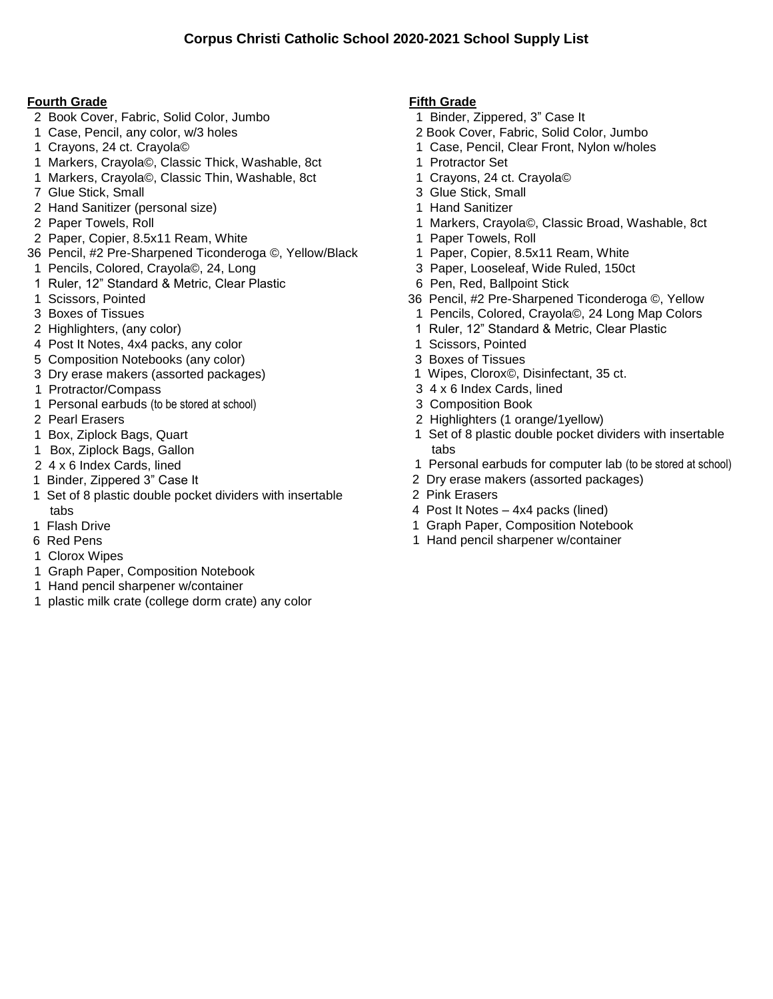#### **Fourth Grade**

- 2 Book Cover, Fabric, Solid Color, Jumbo
- 1 Case, Pencil, any color, w/3 holes
- 1 Crayons, 24 ct. Crayola©
- 1 Markers, Crayola©, Classic Thick, Washable, 8ct
- 1 Markers, Crayola©, Classic Thin, Washable, 8ct
- 7 Glue Stick, Small
- 2 Hand Sanitizer (personal size)
- 2 Paper Towels, Roll
- 2 Paper, Copier, 8.5x11 Ream, White
- 36 Pencil, #2 Pre-Sharpened Ticonderoga ©, Yellow/Black 1 Pencils, Colored, Crayola©, 24, Long
- 1 Ruler, 12" Standard & Metric, Clear Plastic
- 1 Scissors, Pointed
- 3 Boxes of Tissues
- 2 Highlighters, (any color)
- 4 Post It Notes, 4x4 packs, any color
- 5 Composition Notebooks (any color)
- 3 Dry erase makers (assorted packages)
- 1 Protractor/Compass
- 1 Personal earbuds (to be stored at school)
- 2 Pearl Erasers
- 1 Box, Ziplock Bags, Quart
- 1 Box, Ziplock Bags, Gallon
- 2 4 x 6 Index Cards, lined
- 1 Binder, Zippered 3" Case It
- 1 Set of 8 plastic double pocket dividers with insertable tabs
- 1 Flash Drive
- 6 Red Pens
- 1 Clorox Wipes
- 1 Graph Paper, Composition Notebook
- 1 Hand pencil sharpener w/container
- 1 plastic milk crate (college dorm crate) any color

#### **Fifth Grade**

- 1 Binder, Zippered, 3" Case It
- 2 Book Cover, Fabric, Solid Color, Jumbo
- 1 Case, Pencil, Clear Front, Nylon w/holes
- 1 Protractor Set
- 1 Crayons, 24 ct. Crayola©
- 3 Glue Stick, Small
- 1 Hand Sanitizer
- 1 Markers, Crayola©, Classic Broad, Washable, 8ct
- 1 Paper Towels, Roll
- 1 Paper, Copier, 8.5x11 Ream, White
- 3 Paper, Looseleaf, Wide Ruled, 150ct
- 6 Pen, Red, Ballpoint Stick
- 36 Pencil, #2 Pre-Sharpened Ticonderoga ©, Yellow
	- 1 Pencils, Colored, Crayola©, 24 Long Map Colors
- 1 Ruler, 12" Standard & Metric, Clear Plastic
- 1 Scissors, Pointed
- 3 Boxes of Tissues
- 1 Wipes, Clorox©, Disinfectant, 35 ct.
- 3 4 x 6 Index Cards, lined
- 3 Composition Book
- 2 Highlighters (1 orange/1yellow)
- 1 Set of 8 plastic double pocket dividers with insertable tabs
- 1 Personal earbuds for computer lab (to be stored at school)
- 2 Dry erase makers (assorted packages)
- 2 Pink Erasers
- 4 Post It Notes 4x4 packs (lined)
- 1 Graph Paper, Composition Notebook
- 1 Hand pencil sharpener w/container